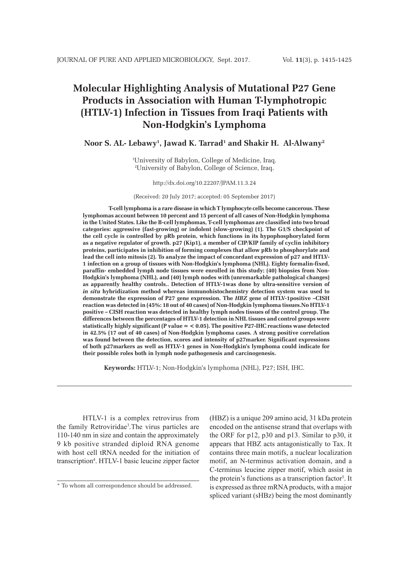# **Molecular Highlighting Analysis of Mutational P27 Gene Products in Association with Human T-lymphotropic (HTLV-1) Infection in Tissues from Iraqi Patients with Non-Hodgkin's Lymphoma**

## Noor S. AL- Lebawy<sup>1</sup>, Jawad K. Tarrad<sup>1</sup> and Shakir H. Al-Alwany<sup>2</sup>

1 University of Babylon, College of Medicine, Iraq. 2 University of Babylon, College of Science, Iraq.

#### http://dx.doi.org/10.22207/JPAM.11.3.24

(Received: 20 July 2017; accepted: 05 September 2017)

**T-cell lymphoma is a rare disease in which T lymphocyte cells become cancerous. These lymphomas account between 10 percent and 15 percent of all cases of Non-Hodgkin lymphoma in the United States. Like the B-cell lymphomas, T-cell lymphomas are classified into two broad categories: aggressive (fast-growing) or indolent (slow-growing) (1). The G1/S checkpoint of the cell cycle is controlled by pRb protein, which functions in its hypophosphorylated form as a negative regulator of growth. p27 (Kip1), a member of CIP/KIP family of cyclin inhibitory proteins, participates in inhibition of forming complexes that allow pRb to phosphorylate and lead the cell into mitosis (2). To analyze the impact of concordant expression of p27 and HTLV-1 infection on a group of tissues with Non-Hodgkin's lymphoma (NHL). Eighty formalin-fixed, paraffin- embedded lymph node tissues were enrolled in this study; (40) biopsies from Non-Hodgkin's lymphoma (NHL), and (40) lymph nodes with (unremarkable pathological changes) as apparently healthy controls.. Detection of HTLV-1was done by ultra-sensitive version of**  *in situ* **hybridization method whereas immunohistochemistry detection system was used to demonstrate the expression of P27 gene expression. The** *HBZ* **gene of HTLV-1positive –CISH reaction was detected in (45%: 18 out of 40 cases) of Non-Hodgkin lymphoma tissues.No HTLV-1 positive – CISH reaction was detected in healthy lymph nodes tissues of the control group. The differences between the percentages of HTLV-1 detection in NHL tissues and control groups were statistically highly significant (P value = < 0.05). The positive P27-IHC reactions wase detected in 42.5% (17 out of 40 cases) of Non-Hodgkin lymphoma cases. A strong positive correlation was found between the detection, scores and intensity of p27marker. Significant expressions of both p27markers as well as HTLV-1 genes in Non-Hodgkin's lymphoma could indicate for their possible roles both in lymph node pathogenesis and carcinogenesis.**

**Keywords:** HTLV-1; Non-Hodgkin's lymphoma (NHL), P27; ISH, IHC.

HTLV-1 is a complex retrovirus from the family Retroviridae3 .The virus particles are 110-140 nm in size and contain the approximately 9 kb positive stranded diploid RNA genome with host cell tRNA needed for the initiation of transcription4 . HTLV-1 basic leucine zipper factor (HBZ) is a unique 209 amino acid, 31 kDa protein encoded on the antisense strand that overlaps with the ORF for p12, p30 and p13. Similar to p30, it appears that HBZ acts antagonistically to Tax. It contains three main motifs, a nuclear localization motif, an N-terminus activation domain, and a C-terminus leucine zipper motif, which assist in the protein's functions as a transcription factor<sup>5</sup>. It is expressed as three mRNA products, with a major spliced variant (sHBz) being the most dominantly

<sup>\*</sup> To whom all correspondence should be addressed.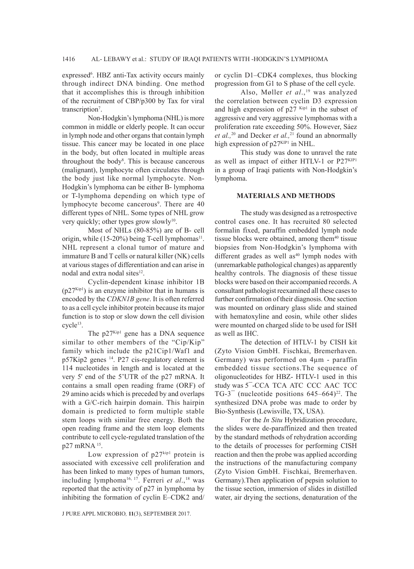expressed<sup>6</sup>. HBZ anti-Tax activity occurs mainly through indirect DNA binding. One method that it accomplishes this is through inhibition of the recruitment of CBP/p300 by Tax for viral transcription<sup>7</sup>.

Non-Hodgkin's lymphoma (NHL) is more common in middle or elderly people. It can occur in lymph node and other organs that contain lymph tissue. This cancer may be located in one place in the body, but often located in multiple areas throughout the body<sup>8</sup>. This is because cancerous (malignant), lymphocyte often circulates through the body just like normal lymphocyte. Non-Hodgkin's lymphoma can be either B- lymphoma or T-lymphoma depending on which type of lymphocyte become cancerous<sup>9</sup>. There are 40 different types of NHL. Some types of NHL grow very quickly; other types grow slowly<sup>10</sup>.

Most of NHLs (80-85%) are of B- cell origin, while  $(15{\text -}20\%)$  being T-cell lymphomas<sup>11</sup>. NHL represent a clonal tumor of mature and immature B and T cells or natural killer (NK) cells at various stages of differentiation and can arise in nodal and extra nodal sites<sup>12</sup>.

Cyclin-dependent kinase inhibitor 1B  $(p27<sup>Kip1</sup>)$  is an enzyme inhibitor that in humans is encoded by the *CDKN1B gene*. It is often referred to as a cell cycle inhibitor protein because its major function is to stop or slow down the cell division cycle<sup>13</sup>.

The  $p27^{Kip1}$  gene has a DNA sequence similar to other members of the "Cip/Kip" family which include the p21Cip1/Waf1 and p57Kip2 genes 14. P27 cis-regulatory element is 114 nucleotides in length and is located at the very 5' end of the 5'UTR of the p27 mRNA. It contains a small open reading frame (ORF) of 29 amino acids which is preceded by and overlaps with a G/C-rich hairpin domain. This hairpin domain is predicted to form multiple stable stem loops with similar free energy. Both the open reading frame and the stem loop elements contribute to cell cycle-regulated translation of the p27 mRNA 15.

Low expression of  $p27^{kip1}$  protein is associated with excessive cell proliferation and has been linked to many types of human tumors, including lymphoma<sup>16, 17</sup>. Ferreri et al.,<sup>18</sup> was reported that the activity of p27 in lymphoma by inhibiting the formation of cyclin E–CDK2 and/ or cyclin D1–CDK4 complexes, thus blocking progression from G1 to S phase of the cell cycle.

Also, Møller *et al.*,<sup>19</sup> was analyzed the correlation between cyclin D3 expression and high expression of  $p27$  Kip1 in the subset of aggressive and very aggressive lymphomas with a proliferation rate exceeding 50%. However, Sáez *et al.,*20 and Decker *et al.,*21 found an abnormally high expression of  $p27<sup>KIP1</sup>$  in NHL.

This study was done to unravel the rate as well as impact of either HTLV-1 or P27KIP1 in a group of Iraqi patients with Non-Hodgkin's lymphoma.

#### **MATERIALS AND METHODS**

The study was designed as a retrospective control cases one. It has recruited 80 selected formalin fixed, paraffin embedded lymph node tissue blocks were obtained, among them $40$  tissue biopsies from Non-Hodgkin's lymphoma with different grades as well as<sup>40</sup> lymph nodes with (unremarkable pathological changes) as apparently healthy controls. The diagnosis of these tissue blocks were based on their accompanied records. A consultant pathologist reexamined all these cases to further confirmation of their diagnosis. One section was mounted on ordinary glass slide and stained with hematoxyline and eosin, while other slides were mounted on charged slide to be used for ISH as well as IHC.

The detection of HTLV-1 by CISH kit (Zyto Vision GmbH. Fischkai, Bremerhaven. Germany) was performed on 4µm - paraffin embedded tissue sections.The sequence of oligonucleotides for HBZ- HTLV-1 used in this study was 5¯-CCA TCA ATC CCC AAC TCC TG-3<sup> $-$ </sup> (nucleotide positions 645–664)<sup>22</sup>. The synthesized DNA probe was made to order by Bio-Synthesis (Lewisville, TX, USA).

For the *In Situ* Hybridization procedure, the slides were de-paraffinized and then treated by the standard methods of rehydration according to the details of processes for performing CISH reaction and then the probe was applied according the instructions of the manufacturing company (Zyto Vision GmbH. Fischkai, Bremerhaven. Germany).Then application of pepsin solution to the tissue section, immersion of slides in distilled water, air drying the sections, denaturation of the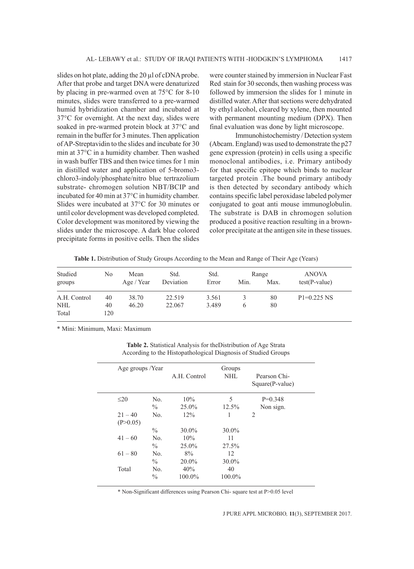slides on hot plate, adding the 20 µl of cDNA probe. After that probe and target DNA were denaturized by placing in pre-warmed oven at 75°C for 8-10 minutes, slides were transferred to a pre-warmed humid hybridization chamber and incubated at 37°C for overnight. At the next day, slides were soaked in pre-warmed protein block at 37°C and remain in the buffer for 3 minutes. Then application of AP-Streptavidin to the slides and incubate for 30 min at 37°C in a humidity chamber. Then washed in wash buffer TBS and then twice times for 1 min in distilled water and application of 5-bromo3 chloro3-indoly/phosphate/nitro blue tertrazolium substrate- chromogen solution NBT/BCIP and incubated for 40 min at 37°C in humidity chamber. Slides were incubated at 37°C for 30 minutes or until color development was developed completed. Color development was monitored by viewing the slides under the microscope. A dark blue colored precipitate forms in positive cells. Then the slides

were counter stained by immersion in Nuclear Fast Red stain for 30 seconds, then washing process was followed by immersion the slides for 1 minute in distilled water. After that sections were dehydrated by ethyl alcohol, cleared by xylene, then mounted with permanent mounting medium (DPX). Then final evaluation was done by light microscope.

Immunohistochemistry / Detection system (Abcam. England) was used to demonstrate the p27 gene expression (protein) in cells using a specific monoclonal antibodies, i.e. Primary antibody for that specific epitope which binds to nuclear targeted protein .The bound primary antibody is then detected by secondary antibody which contains specific label peroxidase labeled polymer conjugated to goat anti mouse immunoglobulin. The substrate is DAB in chromogen solution produced a positive reaction resulting in a browncolor precipitate at the antigen site in these tissues.

Table 1. Distribution of Study Groups According to the Mean and Range of Their Age (Years)

| Studied<br>groups   | No        | Mean<br>Age / Year | Std.<br>Deviation | Std.<br>Error | Min. | Range<br>Max. | <b>ANOVA</b><br>$test(P-value)$ |
|---------------------|-----------|--------------------|-------------------|---------------|------|---------------|---------------------------------|
| A.H. Control        | 40        | 38.70              | 22.519            | 3.561         | 3    | 80            | $P1=0.225$ NS                   |
| <b>NHL</b><br>Total | 40<br>120 | 46.20              | 22.067            | 3.489         | 6    | 80            |                                 |

\* Mini: Minimum, Maxi: Maximum

**Table 2.** Statistical Analysis for theDistribution of Age Strata According to the Histopathological Diagnosis of Studied Groups

| Age groups /Year      |                        | A.H. Control   | Groups<br>NHL | Pearson Chi-<br>Square(P-value) |
|-----------------------|------------------------|----------------|---------------|---------------------------------|
| $\leq$ 20             | No.<br>$\%$            | 10%<br>25.0%   | 5<br>12.5%    | $P=0.348$<br>Non sign.          |
| $21 - 40$<br>(P>0.05) | No.                    | 12%            | 1             | $\overline{c}$                  |
|                       | $\%$                   | $30.0\%$       | $30.0\%$      |                                 |
| $41 - 60$             | No.<br>$\frac{0}{0}$   | 10%<br>25.0%   | 11<br>27.5%   |                                 |
| $61 - 80$             | N <sub>0</sub><br>$\%$ | 8%<br>$20.0\%$ | 12<br>30.0%   |                                 |
| Total                 | No.<br>$\frac{0}{0}$   | 40%<br>100.0%  | 40<br>100.0%  |                                 |

\* Non-Significant differences using Pearson Chi- square test at P>0.05 level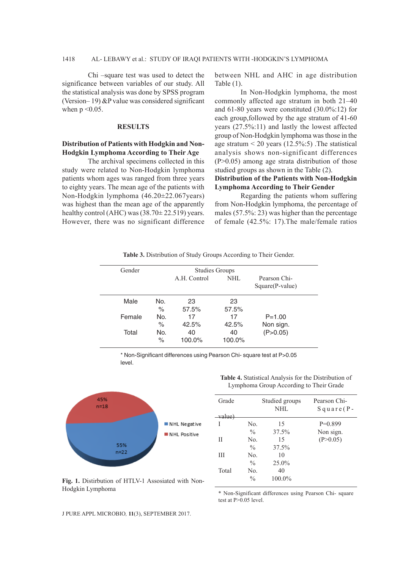## 1418 AL- LEBAWY et al.: STUDY OF IRAQI PATIENTS WITH -HODGKIN'S LYMPHOMA

Chi –square test was used to detect the significance between variables of our study. All the statistical analysis was done by SPSS program (Version– 19) &P value was considered significant when  $p \leq 0.05$ .

#### **RESULTS**

### **Distribution of Patients with Hodgkin and Non-Hodgkin Lymphoma According to Their Age**

The archival specimens collected in this study were related to Non-Hodgkin lymphoma patients whom ages was ranged from three years to eighty years. The mean age of the patients with Non-Hodgkin lymphoma (46.20±22.067years) was highest than the mean age of the apparently healthy control (AHC) was  $(38.70 \pm 22.519)$  years. However, there was no significant difference between NHL and AHC in age distribution Table (1).

In Non-Hodgkin lymphoma, the most commonly affected age stratum in both 21–40 and 61-80 years were constituted (30.0%:12) for each group,followed by the age stratum of 41-60 years (27.5%:11) and lastly the lowest affected group of Non-Hodgkin lymphoma was those in the age stratum  $\leq$  20 years (12.5%:5). The statistical analysis shows non-significant differences (P>0.05) among age strata distribution of those studied groups as shown in the Table (2).

# **Distribution of the Patients with Non-Hodgkin Lymphoma According to Their Gender**

Regarding the patients whom suffering from Non-Hodgkin lymphoma, the percentage of males (57.5%: 23) was higher than the percentage of female (42.5%: 17).The male/female ratios

| Table 3. Distribution of Study Groups According to Their Gender. |  |  |  |
|------------------------------------------------------------------|--|--|--|
|------------------------------------------------------------------|--|--|--|

| Gender |             |              | <b>Studies Groups</b> |                                 |
|--------|-------------|--------------|-----------------------|---------------------------------|
|        |             | A.H. Control | NHL.                  | Pearson Chi-<br>Square(P-value) |
| Male   | No.<br>$\%$ | 23<br>57.5%  | 23<br>57.5%           |                                 |
| Female | No.<br>$\%$ | 17<br>42.5%  | 17<br>42.5%           | $P = 1.00$<br>Non sign.         |
| Total  | No.<br>$\%$ | 40<br>100.0% | 40<br>100.0%          | (P>0.05)                        |

\* Non-Significant differences using Pearson Chi- square test at P>0.05 level.



**Table 4.** Statistical Analysis for the Distribution of Lymphoma Group According to Their Grade

| Grade  |               | Studied groups<br>NHL | Pearson Chi-<br>$S$ quare (P - |
|--------|---------------|-----------------------|--------------------------------|
| value) |               |                       |                                |
| I      | No.           | 15                    | $P=0.899$                      |
|        | $\frac{0}{0}$ | 37.5%                 | Non sign.                      |
| Н      | No.           | 15                    | (P>0.05)                       |
|        | $\frac{0}{0}$ | 37.5%                 |                                |
| Ш      | No.           | 10                    |                                |
|        | $\frac{0}{0}$ | 25.0%                 |                                |
| Total  | No.           | 40                    |                                |
|        | $\frac{0}{0}$ | 100.0%                |                                |

**Fig. 1.** Distirbution of HTLV-1 Assosiated with Non-Hodgkin Lymphoma

\* Non-Significant differences using Pearson Chi- square test at  $P>0.05$  level.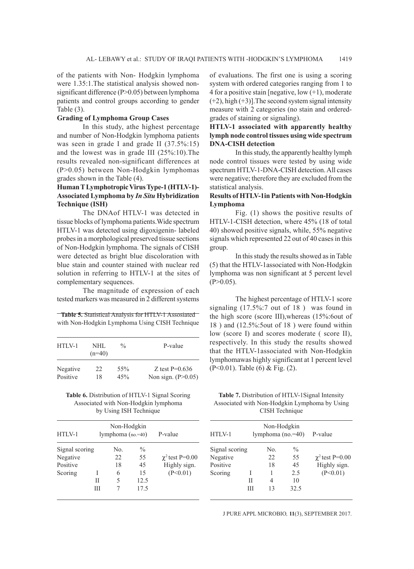of the patients with Non- Hodgkin lymphoma were 1.35:1.The statistical analysis showed nonsignificant difference (P>0.05) between lymphoma patients and control groups according to gender Table (3).

# **Grading of Lymphoma Group Cases**

In this study, athe highest percentage and number of Non-Hodgkin lymphoma patients was seen in grade I and grade II (37.5%:15) and the lowest was in grade III (25%:10).The results revealed non-significant differences at (P>0.05) between Non-Hodgkin lymphomas grades shown in the Table (4).

# **Human T Lymphotropic Virus Type-1 (HTLV-1)- Associated Lymphoma by** *In Situ* **Hybridization Technique (ISH)**

The DNAof HTLV-1 was detected in tissue blocks of lymphoma patients.Wide spectrum HTLV-1 was detected using digoxigenin- labeled probes in a morphological preserved tissue sections of Non-Hodgkin lymphoma. The signals of CISH were detected as bright blue discoloration with blue stain and counter stained with nuclear red solution in referring to HTLV-1 at the sites of complementary sequences.

The magnitude of expression of each tested markers was measured in 2 different systems

**Table 5.** Statistical Analysis for HTLV-1 Assosiated with Non-Hodgkin Lymphoma Using CISH Technique

| $HTIN-1$ | NHL.<br>$(n=40)$ | $\frac{0}{n}$ | P-value              |
|----------|------------------|---------------|----------------------|
| Negative | 22               | 55%           | Z test $P=0.636$     |
| Positive | 18               | 45%           | Non sign. $(P>0.05)$ |

| Table 6. Distribution of HTLV-1 Signal Scoring |
|------------------------------------------------|
| Associated with Non-Hodgkin lymphoma           |
| by Using ISH Technique                         |

| $HTIN-1$                                          |   | Non-Hodgkin<br>lymphoma $(no.=40)$ |                                                 | P-value                                          |
|---------------------------------------------------|---|------------------------------------|-------------------------------------------------|--------------------------------------------------|
| Signal scoring<br>Negative<br>Positive<br>Scoring | Н | No.<br>22<br>18<br>6<br>5          | $\frac{0}{0}$<br>55<br>45<br>15<br>12.5<br>17.5 | $\chi^2$ test P=0.00<br>Highly sign.<br>(P<0.01) |

of evaluations. The first one is using a scoring system with ordered categories ranging from 1 to 4 for a positive stain [negative,  $low (+1)$ , moderate  $(+2)$ , high  $(+3)$ ]. The second system signal intensity measure with 2 categories (no stain and orderedgrades of staining or signaling).

# **HTLV-1 associated with apparently healthy lymph node control tissues using wide spectrum DNA-CISH detection**

In this study, the apparently healthy lymph node control tissues were tested by using wide spectrum HTLV-1-DNA-CISH detection. All cases were negative; therefore they are excluded from the statistical analysis.

### **Results of HTLV-1in Patients with Non-Hodgkin Lymphoma**

Fig. (1) shows the positive results of HTLV-1-CISH detection, where 45% (18 of total 40) showed positive signals, while, 55% negative signals which represented 22 out of 40 cases in this group.

In this study the results showed as in Table (5) that the HTLV-1associated with Non-Hodgkin lymphoma was non significant at 5 percent level  $(P>0.05)$ .

The highest percentage of HTLV-1 score signaling (17.5%:7 out of 18 ) was found in the high score (score III),whereas (15%:6out of 18 ) and (12.5%:5out of 18 ) were found within low (score I) and scores moderate ( score II), respectively. In this study the results showed that the HTLV-1associated with Non-Hodgkin lymphomawas highly significant at 1 percent level (P<0.01). Table (6) & Fig. (2).

**Table 7.** Distribution of HTLV-1Signal Intensity Associated with Non-Hodgkin Lymphoma by Using CISH Technique

| $HTIN-1$       |   | Non-Hodgkin | lymphoma $(no.=40)$ | P-value              |
|----------------|---|-------------|---------------------|----------------------|
| Signal scoring |   | No.         | $\frac{0}{0}$       |                      |
| Negative       |   | 22          | 55                  | $\chi^2$ test P=0.00 |
| Positive       |   | 18          | 45                  | Highly sign.         |
| Scoring        | I |             | 2.5                 | (P<0.01)             |
|                | Н | 4           | 10                  |                      |
|                | Ш | 13          | 32.5                |                      |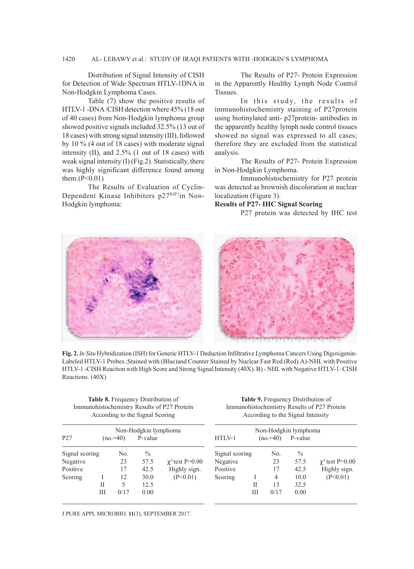# 1420 AL- LEBAWY et al.: STUDY OF IRAQI PATIENTS WITH -HODGKIN'S LYMPHOMA

Distribution of Signal Intensity of CISH for Detection of Wide Spectrum HTLV-1DNA in Non-Hodgkin Lymphoma Cases.

Table (7) show the positive results of HTLV-1 -DNA /CISH detection where 45% (18 out of 40 cases) from Non-Hodgkin lymphoma group showed positive signals included 32.5% (13 out of 18 cases) with strong signal intensity (III), followed by 10 % (4 out of 18 cases) with moderate signal intensity (II), and 2.5% (1 out of 18 cases) with weak signal intensity (I) (Fig.2). Statistically, there was highly significant difference found among them  $(P<0.01)$ 

The Results of Evaluation of Cyclin-Dependent Kinase Inhibitors p27KIP1in Non-Hodgkin lymphoma:

The Results of P27- Protein Expression in the Apparently Healthy Lymph Node Control Tissues.

In this study, the results of immunohistochemistry staining of P27protein using biotinylated anti- p27protein- antibodies in the apparently healthy lymph node control tissues showed no signal was expressed to all cases; therefore they are excluded from the statistical analysis.

The Results of P27- Protein Expression in Non-Hodgkin Lymphoma.

Immunohistochemistry for P27 protein was detected as brownish discoloration at nuclear localization (Figure 3).

# **Results of P27- IHC Signal Scoring**

P27 protein was detected by IHC test





**Fig. 2.***In Situ* Hybridization (ISH) for Generic HTLV-1 Deduction Infiltrative Lymphoma Cancers Using Digoxigenin-Labeled HTLV-1 Probes ;Stained with (Blue)and Counter Stained by Nuclear Fast Red (Red).A)-NHL with Positive HTLV-1 -CISH Reaction with High Score and Strong Signal Intensity (40X). B) - NHL with Negative HTLV-1–CISH Reactions. (40X)

| <b>Table 8.</b> Frequency Distribution of   |  |  |  |  |
|---------------------------------------------|--|--|--|--|
| Immunohistochemistry Results of P27 Protein |  |  |  |  |
| According to the Signal Scoring             |  |  |  |  |

**Table 9.** Frequency Distribution of Immunohistochemistry Results of P27 Protein According to the Signal Intensity

| P <sub>27</sub> |   | $(no.=40)$ | Non-Hodgkin lymphoma<br>P-value |                      | HTLV-1         |   | $(no = 40)$ | Non-Hodgkin lymphoma<br>P-value |                      |
|-----------------|---|------------|---------------------------------|----------------------|----------------|---|-------------|---------------------------------|----------------------|
| Signal scoring  |   | No.        | $\frac{0}{0}$                   |                      | Signal scoring |   | No.         | $\frac{0}{0}$                   |                      |
|                 |   | 23         | 57.5                            | $\chi^2$ test P=0.00 | Negative       |   | 23          | 57.5                            | $\chi^2$ test P=0.00 |
| Negative        |   |            |                                 |                      |                |   |             |                                 |                      |
| Positive        |   | 17         | 42.5                            | Highly sign.         | Positive       |   | 17          | 42.5                            | Highly sign.         |
| Scoring         |   | 12         | 30.0                            | (P<0.01)             | Scoring        |   | 4           | 10.0                            | (P<0.01)             |
|                 | П | 5          | 12.5                            |                      |                | Н | 13          | 32.5                            |                      |
|                 | Ш | 0/17       | 0.00                            |                      |                | Ш | 0/17        | 0.00                            |                      |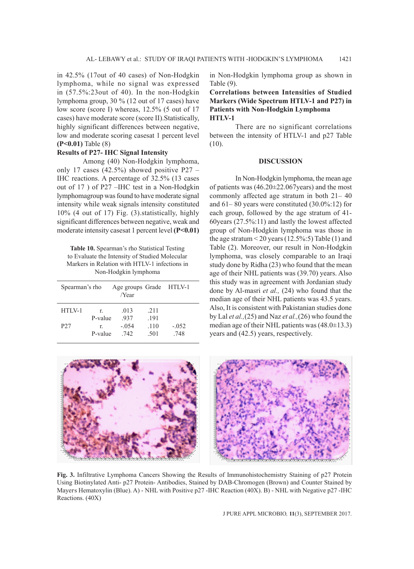in 42.5% (17out of 40 cases) of Non-Hodgkin lymphoma, while no signal was expressed in (57.5%:23out of 40). In the non-Hodgkin lymphoma group, 30 % (12 out of 17 cases) have low score (score I) whereas, 12.5% (5 out of 17 cases) have moderate score (score II).Statistically, highly significant differences between negative, low and moderate scoring casesat 1 percent level **(P<0.01)** Table (8)

#### **Results of P27- IHC Signal Intensity**

Among (40) Non-Hodgkin lymphoma, only 17 cases (42.5%) showed positive P27 – IHC reactions. A percentage of 32.5% (13 cases out of 17 ) of P27 –IHC test in a Non-Hodgkin lymphomagroup was found to have moderate signal intensity while weak signals intensity constituted 10% (4 out of 17) Fig. (3).statistically, highly significant differences between negative, weak and moderate intensity casesat 1 percent level **(P<0.01)** 

**Table 10.** Spearman's rho Statistical Testing to Evaluate the Intensity of Studied Molecular Markers in Relation with HTLV-1 infections in Non-Hodgkin lymphoma

| Spearman's rho  |         | Age groups Grade HTLV-1<br>/Year |      |         |
|-----------------|---------|----------------------------------|------|---------|
| $HTIN-1$        | r       | .013                             | 2.11 |         |
|                 | P-value | 937                              | .191 |         |
| P <sub>27</sub> | r       | $-.054$                          | .110 | $-.052$ |
|                 | P-value | 742                              | .501 | 748     |

in Non-Hodgkin lymphoma group as shown in Table (9).

**Correlations between Intensities of Studied Markers (Wide Spectrum HTLV-1 and P27) in Patients with Non-Hodgkin Lymphoma HTLV-1**

There are no significant correlations between the intensity of HTLV-1 and p27 Table  $(10)$ .

#### **DISCUSSION**

In Non-Hodgkin lymphoma, the mean age of patients was  $(46.20 \pm 22.067 \text{ years})$  and the most commonly affected age stratum in both 21– 40 and 61– 80 years were constituted (30.0%:12) for each group, followed by the age stratum of 41- 60years (27.5%:11) and lastly the lowest affected group of Non-Hodgkin lymphoma was those in the age stratum  $\leq$  20 years (12.5%: 5) Table (1) and Table (2). Moreover, our result in Non-Hodgkin lymphoma, was closely comparable to an Iraqi study done by Ridha (23) who found that the mean age of their NHL patients was (39.70) years. Also this study was in agreement with Jordanian study done by Al-masri *et al.,* (24) who found that the median age of their NHL patients was 43.5 years. Also, It is consistent with Pakistanian studies done by Lal *et al.,*(25) and Naz *et al.,*(26) who found the median age of their NHL patients was  $(48.0\pm13.3)$ years and (42.5) years, respectively.



**Fig. 3.** Infiltrative Lymphoma Cancers Showing the Results of Immunohistochemistry Staining of p27 Protein Using Biotinylated Anti- p27 Protein- Antibodies, Stained by DAB-Chromogen (Brown) and Counter Stained by Mayers Hematoxylin (Blue). A) - NHL with Positive p27 -IHC Reaction (40X). B) - NHL with Negative p27 -IHC Reactions. (40X)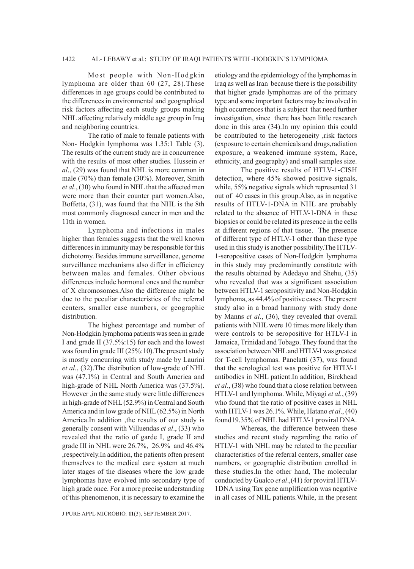#### 1422 AL- LEBAWY et al.: STUDY OF IRAQI PATIENTS WITH -HODGKIN'S LYMPHOMA

Most people with Non-Hodgkin lymphoma are older than 60 (27, 28).These differences in age groups could be contributed to the differences in environmental and geographical risk factors affecting each study groups making NHL affecting relatively middle age group in Iraq and neighboring countries.

The ratio of male to female patients with Non- Hodgkin lymphoma was 1.35:1 Table (3). The results of the current study are in concurrence with the results of most other studies. Hussein *et al*., (29) was found that NHL is more common in male (70%) than female (30%). Moreover, Smith *et al*., (30) who found in NHL that the affected men were more than their counter part women.Also, Boffetta, (31), was found that the NHL is the 8th most commonly diagnosed cancer in men and the 11th in women.

Lymphoma and infections in males higher than females suggests that the well known differences in immunity may be responsible for this dichotomy. Besides immune surveillance, genome surveillance mechanisms also differ in efficiency between males and females. Other obvious differences include hormonal ones and the number of X chromosomes.Also the difference might be due to the peculiar characteristics of the referral centers, smaller case numbers, or geographic distribution.

The highest percentage and number of Non-Hodgkin lymphoma patients was seen in grade I and grade II (37.5%:15) for each and the lowest was found in grade III (25%:10).The present study is mostly concurring with study made by Laurini *et al*., (32).The distribution of low-grade of NHL was (47.1%) in Central and South America and high-grade of NHL North America was (37.5%). However ,in the same study were little differences in high-grade of NHL (52.9%) in Central and South America and in low grade of NHL (62.5%) in North America.In addition ,the results of our study is generally consent with Villuendas *et al*., (33) who revealed that the ratio of garde I, grade II and grade III in NHL were 26.7%, 26.9% and 46.4% ,respectively.In addition, the patients often present themselves to the medical care system at much later stages of the diseases where the low grade lymphomas have evolved into secondary type of high grade once. For a more precise understanding of this phenomenon, it is necessary to examine the

etiology and the epidemiology of the lymphomas in Iraq as well as Iran because there is the possibility that higher grade lymphomas are of the primary type and some important factors may be involved in high occurrences that is a subject that need further investigation, since there has been little research done in this area (34).In my opinion this could be contributed to the heterogeneity ,risk factors (exposure to certain chemicals and drugs,radiation exposure, a weakened immune system, Race, ethnicity, and geography) and small samples size.

The positive results of HTLV-1-CISH detection, where 45% showed positive signals, while, 55% negative signals which represented 31 out of 40 cases in this group.Also, as in negative results of HTLV-1-DNA in NHL are probably related to the absence of HTLV-1-DNA in these biopsies or could be related its presence in the cells at different regions of that tissue. The presence of different type of HTLV-1 other than these type used in this study is another possibility.The HTLV-1-seropositive cases of Non-Hodgkin lymphoma in this study may predominantly constitute with the results obtained by Adedayo and Shehu, (35) who revealed that was a significant association between HTLV-1 seropositivity and Non-Hodgkin lymphoma, as 44.4% of positive cases. The present study also in a broad harmony with study done by Manns *et al*., (36), they revealed that overall patients with NHL were 10 times more likely than were controls to be seropositive for HTLV-I in Jamaica, Trinidad and Tobago. They found that the association between NHL and HTLV-I was greatest for T-cell lymphomas. Panelatti (37), was found that the serological test was positive for HTLV-1 antibodies in NHL patient.In addition, Birckhead *et al*., (38) who found that a close relation between HTLV-1 and lymphoma. While, Miyagi *et al.*, (39) who found that the ratio of positive cases in NHL with HTLV-1 was 26.1%. While, Hatano *et al*., (40) found19.35% of NHL had HTLV-1 proviral DNA.

Whereas, the difference between these studies and recent study regarding the ratio of HTLV-1 with NHL may be related to the peculiar characteristics of the referral centers, smaller case numbers, or geographic distribution enrolled in these studies.In the other hand, The molecular conducted by Gualco *et al*.,(41) for proviral HTLV-1DNA using Tax gene amplification was negative in all cases of NHL patients.While, in the present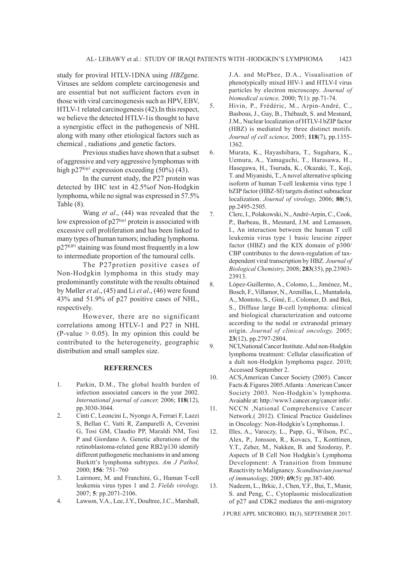study for proviral HTLV-1DNA using *HBZ*gene. Viruses are seldom complete carcinogenesis and are essential but not sufficient factors even in those with viral carcinogenesis such as HPV, EBV, HTLV-1 related carcinogenesis (42).In this respect, we believe the detected HTLV-1is thought to have a synergistic effect in the pathogenesis of NHL along with many other etiological factors such as chemical , radiations ,and genetic factors.

Previous studies have shown that a subset of aggressive and very aggressive lymphomas with high p $27<sup>Kip1</sup>$  expression exceeding (50%) (43).

In the current study, the P27 protein was detected by IHC test in 42.5%of Non-Hodgkin lymphoma, while no signal was expressed in 57.5% Table (8).

Wang *et al*., (44) was revealed that the low expression of  $p27^{kipl}$  protein is associated with excessive cell proliferation and has been linked to many types of human tumors; including lymphoma. p27KIP1 staining was found most frequently in a low to intermediate proportion of the tumoural cells.

The P27protien positive cases of Non-Hodgkin lymphoma in this study may predominantly constitute with the results obtained by Møller *et al*., (45) and Li *et al*., (46) were found 43% and 51.9% of p27 positive cases of NHL, respectively.

However, there are no significant correlations among HTLV-1 and P27 in NHL  $(P-value > 0.05)$ . In my opinion this could be contributed to the heterogeneity, geographic distribution and small samples size.

## **REFERENCES**

- 1. Parkin, D.M., The global health burden of infection associated cancers in the year 2002. *International journal of cancer,* 2006; **118**(12), pp.3030-3044.
- 2. Cinti C, Leoncini L, Nyongo A, Ferrari F, Lazzi S, Bellan C, Vatti R, Zamparelli A, Cevenini G, Tosi GM, Claudio PP, Maraldi NM, Tosi P and Giordano A. Genetic alterations of the retinoblastoma-related gene RB2/p130 identify different pathogenetic mechanisms in and among Burkitt's lymphoma subtypes. *Am J Pathol,* 2000; **156**: 751–760
- 3. Lairmore, M. and Franchini, G., Human T-cell leukemia virus types 1 and 2. *Fields virology,*  2007; **5**: pp.2071-2106.
- 4. Lawson, V.A., Lee, J.Y., Doultree, J.C., Marshall,

J.A. and McPhee, D.A., Visualisation of phenotypically mixed HIV-1 and HTLV-I virus particles by electron microscopy. *Journal of biomedical science,* 2000; **7**(1): pp.71-74.

- 5. Hivin, P., Frédéric, M., Arpin-André, C., Basbous, J., Gay, B., Thébault, S. and Mesnard, J.M., Nuclear localization of HTLV-I bZIP factor (HBZ) is mediated by three distinct motifs. *Journal of cell science,* 2005; **118**(7), pp.1355- 1362.
- 6. Murata, K., Hayashibara, T., Sugahara, K., Uemura, A., Yamaguchi, T., Harasawa, H., Hasegawa, H., Tsuruda, K., Okazaki, T., Koji, T. and Miyanishi, T., A novel alternative splicing isoform of human T-cell leukemia virus type 1 bZIP factor (HBZ-SI) targets distinct subnuclear localization. *Journal of virology,* 2006; **80**(5), pp.2495-2505.
- 7. Clerc, I., Polakowski, N., André-Arpin, C., Cook, P., Barbeau, B., Mesnard, J.M. and Lemasson, I., An interaction between the human T cell leukemia virus type 1 basic leucine zipper factor (HBZ) and the KIX domain of p300/ CBP contributes to the down-regulation of taxdependent viral transcription by HBZ. *Journal of Biological Chemistry,* 2008; **283**(35), pp.23903- 23913.
- 8. López-Guillermo, A., Colomo, L., Jiménez, M., Bosch, F., Villamor, N., Arenillas, L., Muntañola, A., Montoto, S., Giné, E., Colomer, D. and Beà, S., Diffuse large B-cell lymphoma: clinical and biological characterization and outcome according to the nodal or extranodal primary origin. *Journal of clinical oncology,* 2005; **23**(12), pp.2797-2804.
- 9. NCI,National Cancer Institute. Adul non-Hodgkin lymphoma treatment: Cellular classification of a dult non-Hodgkin lymphoma pagez. 2010; Accessed September 2.
- 10. ACS,American Cancer Society (2005). Cancer Facts & Figures 2005.Atlanta : American Cancer Society 2003. Non-Hodgkin's lymphoma. Avaiable at: http://www3.cancer.org/cancer info/.
- 11. NCCN ,National Comprehensive Cancer Network.( 2012). Clinical Practice Guidelines in Oncology: Non-Hodgkin's Lymphomas.1.
- 12. Illes, A., Varoczy, L., Papp, G., Wilson, P.C., Alex, P., Jonsson, R., Kovacs, T., Konttinen, Y.T., Zeher, M., Nakken, B. and Szodoray, P.. Aspects of B Cell Non Hodgkin's Lymphoma Development: A Transition from Immune Reactivity to Malignancy. *Scandinavian journal of immunology,* 2009; **69**(5): pp.387-400.
- 13. Nadeem, L., Brkic, J., Chen, Y.F., Bui, T., Munir, S. and Peng, C., Cytoplasmic mislocalization of p27 and CDK2 mediates the anti-migratory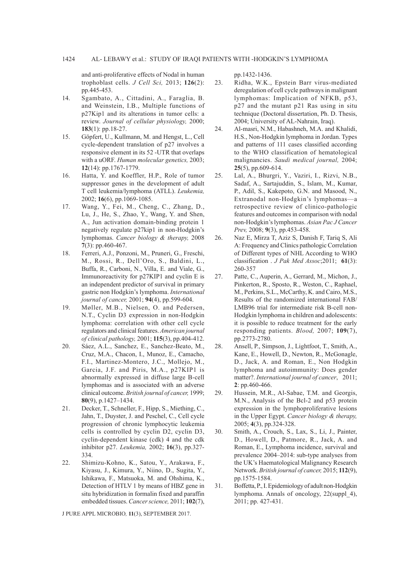and anti-proliferative effects of Nodal in human trophoblast cells. *J Cell Sci,* 2013; **126**(2): pp.445-453.

- 14. Sgambato, A., Cittadini, A., Faraglia, B. and Weinstein, I.B., Multiple functions of p27Kip1 and its alterations in tumor cells: a review. *Journal of cellular physiology,* 2000; **183**(1): pp.18-27.
- 15. Göpfert, U., Kullmann, M. and Hengst, L., Cell cycle-dependent translation of p27 involves a responsive element in its 52 -UTR that overlaps with a uORF. *Human molecular genetics,* 2003; **12**(14): pp.1767-1779.
- 16. Hatta, Y. and Koeffler, H.P., Role of tumor suppressor genes in the development of adult T cell leukemia/lymphoma (ATLL). *Leukemia,*  2002; **16**(6), pp.1069-1085.
- 17. Wang, Y., Fei, M., Cheng, C., Zhang, D., Lu, J., He, S., Zhao, Y., Wang, Y. and Shen, A., Jun activation domain-binding protein 1 negatively regulate p27kip1 in non-Hodgkin's lymphomas. *Cancer biology & therapy,* 2008 **7**(3): pp.460-467.
- 18. Ferreri, A.J., Ponzoni, M., Pruneri, G., Freschi, M., Rossi, R., Dell'Oro, S., Baldini, L., Buffa, R., Carboni, N., Villa, E. and Viale, G., Immunoreactivity for p27KIP1 and cyclin E is an independent predictor of survival in primary gastric non Hodgkin's lymphoma. *International journal of cancer,* 2001; **94**(4), pp.599-604.
- 19. Møller, M.B., Nielsen, O. and Pedersen, N.T., Cyclin D3 expression in non-Hodgkin lymphoma: correlation with other cell cycle regulators and clinical features. *American journal of clinical pathology,* 2001; **115**(3), pp.404-412.
- 20. Sáez, A.L., Sanchez, E., Sanchez-Beato, M., Cruz, M.A., Chacon, I., Munoz, E., Camacho, F.I., Martinez-Montero, J.C., Mollejo, M., Garcia, J.F. and Piris, M.A., p27KIP1 is abnormally expressed in diffuse large B-cell lymphomas and is associated with an adverse clinical outcome. *British journal of cancer,* 1999; **80**(9), p.1427–1434.
- 21. Decker, T., Schneller, F., Hipp, S., Miething, C., Jahn, T., Duyster, J. and Peschel, C., Cell cycle progression of chronic lymphocytic leukemia cells is controlled by cyclin D2, cyclin D3, cyclin-dependent kinase (cdk) 4 and the cdk inhibitor p27. *Leukemia,* 2002; **16**(3), pp.327- 334.
- 22. Shimizu-Kohno, K., Satou, Y., Arakawa, F., Kiyasu, J., Kimura, Y., Niino, D., Sugita, Y., Ishikawa, F., Matsuoka, M. and Ohshima, K., Detection of HTLV 1 by means of HBZ gene in situ hybridization in formalin fixed and paraffin embedded tissues. *Cancer science,* 2011; **102**(7),

J PURE APPL MICROBIO*,* **11**(3), SEPTEMBER 2017.

pp.1432-1436.

- 23. Ridha, W.K., Epstein Barr virus-mediated deregulation of cell cycle pathways in malignant lymphomas: Implication of NFKB, p53, p27 and the mutant p21 Ras using in situ technique (Doctoral dissertation, Ph. D. Thesis, 2004; University of AL-Nahrain, Iraq).
- 24. Al-masri, N.M., Habashneh, M.A. and Khalidi, H.S., Non-Hodgkin lymphoma in Jordan. Types and patterns of 111 cases classified according to the WHO classification of hematological malignancies. *Saudi medical journal,* 2004; **25**(5), pp.609-614.
- 25. Lal, A., Bhurgri, Y., Vaziri, I., Rizvi, N.B., Sadaf, A., Sartajuddin, S., Islam, M., Kumar, P., Adil, S., Kakepoto, G.N. and Masood, N., Extranodal non-Hodgkin's lymphomas—a retrospective review of clinico-pathologic features and outcomes in comparison with nodal non-Hodgkin's lymphomas. *Asian Pac J Cancer Prev,* 2008; **9**(3), pp.453-458.
- 26. Naz E, Mirza T, Aziz S, Danish F, Tariq S, Ali A: Frequency and Clinics pathologic Correlation of Different types of NHL According to WHO classification . *J Pak Med Assoc*;2011; **61**(3): 260-357
- 27. Patte, C., Auperin, A., Gerrard, M., Michon, J., Pinkerton, R., Sposto, R., Weston, C., Raphael, M., Perkins, S.L., McCarthy, K. and Cairo, M.S., Results of the randomized international FAB/ LMB96 trial for intermediate risk B-cell non-Hodgkin lymphoma in children and adolescents: it is possible to reduce treatment for the early responding patients. *Blood,* 2007; **109**(7), pp.2773-2780.
- 28. Ansell, P., Simpson, J., Lightfoot, T., Smith, A., Kane, E., Howell, D., Newton, R., McGonagle, D., Jack, A. and Roman, E., Non Hodgkin lymphoma and autoimmunity: Does gender matter?. *International journal of cancer*, 2011; **2**: pp.460-466.
- 29. Hussein, M.R., Al-Sabae, T.M. and Georgis, M.N., Analysis of the Bcl-2 and p53 protein expression in the lymphoproliferative lesions in the Upper Egypt. *Cancer biology & therapy,*  2005; **4**(3), pp.324-328.
- 30. Smith, A., Crouch, S., Lax, S., Li, J., Painter, D., Howell, D., Patmore, R., Jack, A. and Roman, E., Lymphoma incidence, survival and prevalence 2004–2014: sub-type analyses from the UK's Haematological Malignancy Research Network. *British journal of cancer,* 2015; **112**(9), pp.1575-1584.
- 31. Boffetta, P., I. Epidemiology of adult non-Hodgkin lymphoma. Annals of oncology, 22(suppl\_4), 2011; pp. 427-431.